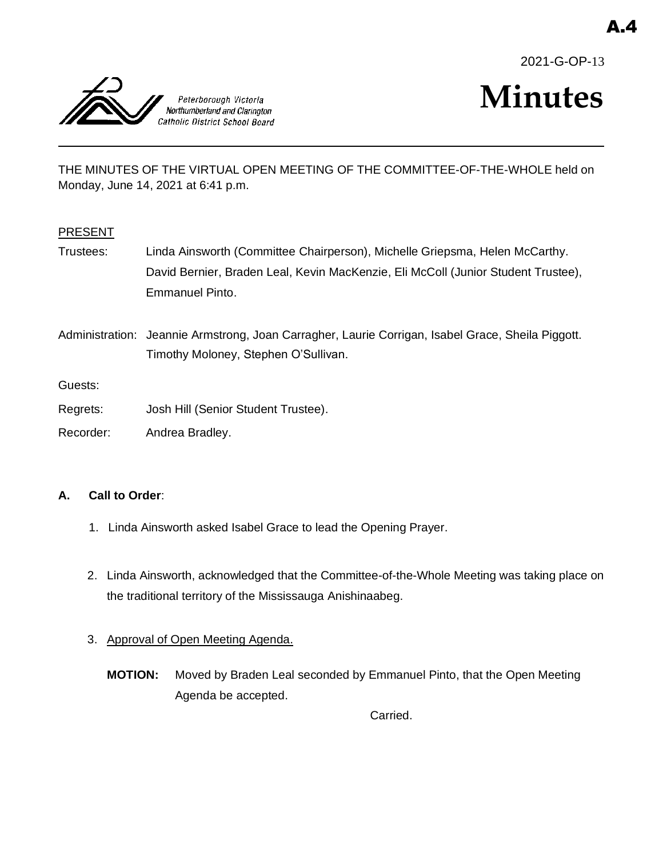



# **Minutes**

THE MINUTES OF THE VIRTUAL OPEN MEETING OF THE COMMITTEE-OF-THE-WHOLE held on Monday, June 14, 2021 at 6:41 p.m.

#### PRESENT

Trustees: Linda Ainsworth (Committee Chairperson), Michelle Griepsma, Helen McCarthy. David Bernier, Braden Leal, Kevin MacKenzie, Eli McColl (Junior Student Trustee), Emmanuel Pinto.

Administration: Jeannie Armstrong, Joan Carragher, Laurie Corrigan, Isabel Grace, Sheila Piggott. Timothy Moloney, Stephen O'Sullivan.

Guests:

- Regrets: Josh Hill (Senior Student Trustee).
- Recorder: Andrea Bradley.

#### **A. Call to Order**:

- 1. Linda Ainsworth asked Isabel Grace to lead the Opening Prayer.
- 2. Linda Ainsworth, acknowledged that the Committee-of-the-Whole Meeting was taking place on the traditional territory of the Mississauga Anishinaabeg.
- 3. Approval of Open Meeting Agenda.
	- **MOTION:** Moved by Braden Leal seconded by Emmanuel Pinto, that the Open Meeting Agenda be accepted.

Carried.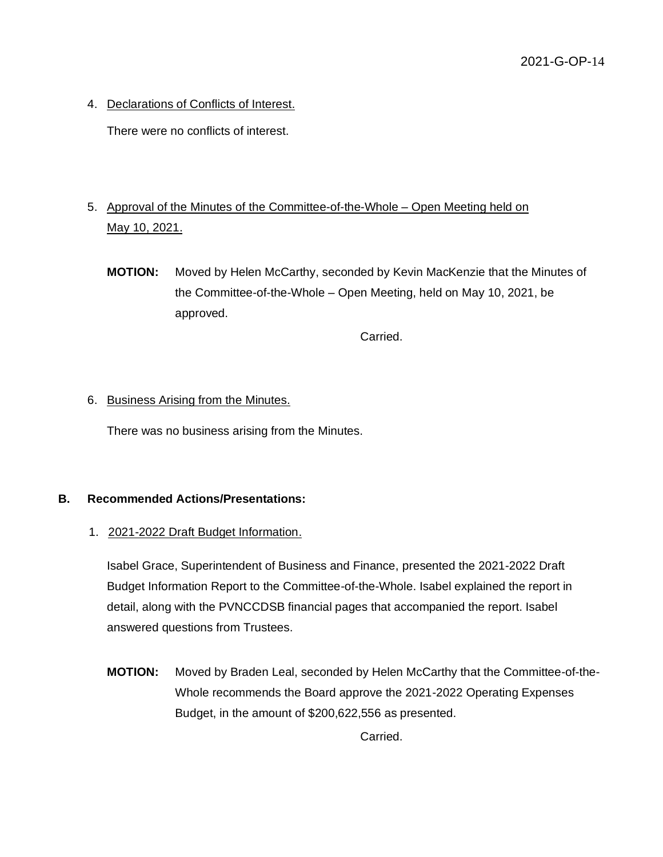4. Declarations of Conflicts of Interest.

There were no conflicts of interest.

## 5. Approval of the Minutes of the Committee-of-the-Whole – Open Meeting held on May 10, 2021.

**MOTION:** Moved by Helen McCarthy, seconded by Kevin MacKenzie that the Minutes of the Committee-of-the-Whole – Open Meeting, held on May 10, 2021, be approved.

Carried.

#### 6. Business Arising from the Minutes.

There was no business arising from the Minutes.

### **B. Recommended Actions/Presentations:**

1. 2021-2022 Draft Budget Information.

Isabel Grace, Superintendent of Business and Finance, presented the 2021-2022 Draft Budget Information Report to the Committee-of-the-Whole. Isabel explained the report in detail, along with the PVNCCDSB financial pages that accompanied the report. Isabel answered questions from Trustees.

**MOTION:** Moved by Braden Leal, seconded by Helen McCarthy that the Committee-of-the-Whole recommends the Board approve the 2021-2022 Operating Expenses Budget, in the amount of \$200,622,556 as presented.

Carried.